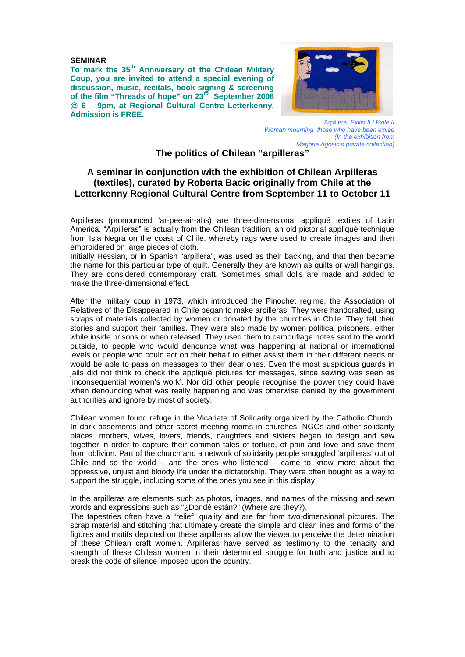#### **SEMINAR**

To mark the 35<sup>th</sup> Anniversary of the Chilean Military **Coup, you are invited to attend a special evening of discussion, music, recitals, book signing & screening of the film "Threads of hope" on 23rd September 2008 @ 6 – 9pm, at Regional Cultural Centre Letterkenny. Admission is FREE.** 



Arpillera, *Exilio II / Exile II Woman mourning those who have been exiled (In the exhibition from Marjorie Agosin's private collection)* 

# **The politics of Chilean "arpilleras"**

## **A seminar in conjunction with the exhibition of Chilean Arpilleras (textiles), curated by Roberta Bacic originally from Chile at the Letterkenny Regional Cultural Centre from September 11 to October 11**

Arpilleras (pronounced "ar-pee-air-ahs) are three-dimensional appliqué textiles of Latin America. "Arpilleras" is actually from the Chilean tradition, an old pictorial appliqué technique from Isla Negra on the coast of Chile, whereby rags were used to create images and then embroidered on large pieces of cloth.

Initially Hessian, or in Spanish "arpillera", was used as their backing, and that then became the name for this particular type of quilt. Generally they are known as quilts or wall hangings. They are considered contemporary craft. Sometimes small dolls are made and added to make the three-dimensional effect.

After the military coup in 1973, which introduced the Pinochet regime, the Association of Relatives of the Disappeared in Chile began to make arpilleras. They were handcrafted, using scraps of materials collected by women or donated by the churches in Chile. They tell their stories and support their families. They were also made by women political prisoners, either while inside prisons or when released. They used them to camouflage notes sent to the world outside, to people who would denounce what was happening at national or international levels or people who could act on their behalf to either assist them in their different needs or would be able to pass on messages to their dear ones. Even the most suspicious guards in jails did not think to check the appliqué pictures for messages, since sewing was seen as 'inconsequential women's work'. Nor did other people recognise the power they could have when denouncing what was really happening and was otherwise denied by the government authorities and ignore by most of society.

Chilean women found refuge in the Vicariate of Solidarity organized by the Catholic Church. In dark basements and other secret meeting rooms in churches, NGOs and other solidarity places, mothers, wives, lovers, friends, daughters and sisters began to design and sew together in order to capture their common tales of torture, of pain and love and save them from oblivion. Part of the church and a network of solidarity people smuggled 'arpilleras' out of Chile and so the world – and the ones who listened – came to know more about the oppressive, unjust and bloody life under the dictatorship. They were often bought as a way to support the struggle, including some of the ones you see in this display.

In the arpilleras are elements such as photos, images, and names of the missing and sewn words and expressions such as "¿Dondé están?" (Where are they?).

The tapestries often have a "relief" quality and are far from two-dimensional pictures. The scrap material and stitching that ultimately create the simple and clear lines and forms of the figures and motifs depicted on these arpilleras allow the viewer to perceive the determination of these Chilean craft women. Arpilleras have served as testimony to the tenacity and strength of these Chilean women in their determined struggle for truth and justice and to break the code of silence imposed upon the country.